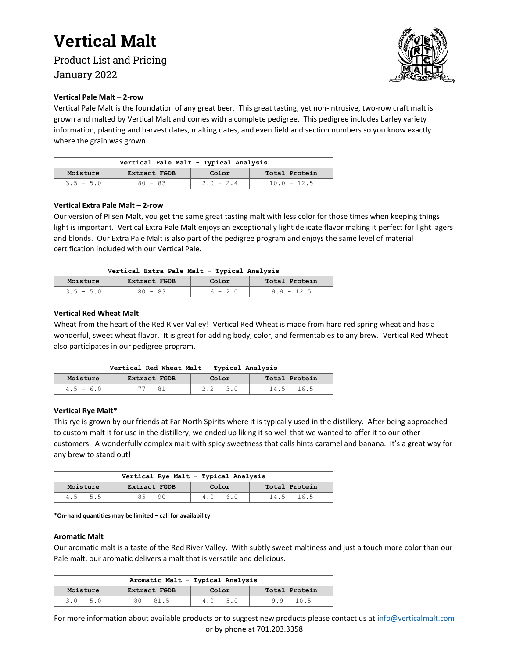Product List and Pricing January 2022



#### **Vertical Pale Malt – 2-row**

Vertical Pale Malt is the foundation of any great beer. This great tasting, yet non-intrusive, two-row craft malt is grown and malted by Vertical Malt and comes with a complete pedigree. This pedigree includes barley variety information, planting and harvest dates, malting dates, and even field and section numbers so you know exactly where the grain was grown.

| Vertical Pale Malt - Typical Analysis |              |             |               |  |
|---------------------------------------|--------------|-------------|---------------|--|
| Moisture                              | Extract FGDB | Color       | Total Protein |  |
| $3.5 - 5.0$                           | $80 - 83$    | $2.0 - 2.4$ | $10.0 - 12.5$ |  |

#### **Vertical Extra Pale Malt – 2-row**

Our version of Pilsen Malt, you get the same great tasting malt with less color for those times when keeping things light is important. Vertical Extra Pale Malt enjoys an exceptionally light delicate flavor making it perfect for light lagers and blonds. Our Extra Pale Malt is also part of the pedigree program and enjoys the same level of material certification included with our Vertical Pale.

| Vertical Extra Pale Malt - Typical Analysis |              |             |               |
|---------------------------------------------|--------------|-------------|---------------|
| Moisture                                    | Extract FGDB | Color       | Total Protein |
| $3.5 - 5.0$                                 | $80 - 83$    | $1.6 - 2.0$ | $9.9 - 12.5$  |

### **Vertical Red Wheat Malt**

Wheat from the heart of the Red River Valley! Vertical Red Wheat is made from hard red spring wheat and has a wonderful, sweet wheat flavor. It is great for adding body, color, and fermentables to any brew. Vertical Red Wheat also participates in our pedigree program.

| Vertical Red Wheat Malt - Typical Analysis |              |             |               |
|--------------------------------------------|--------------|-------------|---------------|
| Moisture                                   | Extract FGDB | Color       | Total Protein |
| $4.5 - 6.0$                                | 77 - 81      | $2.2 - 3.0$ | $14.5 - 16.5$ |

#### **Vertical Rye Malt\***

This rye is grown by our friends at Far North Spirits where it is typically used in the distillery. After being approached to custom malt it for use in the distillery, we ended up liking it so well that we wanted to offer it to our other customers. A wonderfully complex malt with spicy sweetness that calls hints caramel and banana. It's a great way for any brew to stand out!

| Vertical Rye Malt - Typical Analysis |              |             |               |
|--------------------------------------|--------------|-------------|---------------|
| Moisture                             | Extract FGDB | Color       | Total Protein |
| $4.5 - 5.5$                          | $85 - 90$    | $4.0 - 6.0$ | $14.5 - 16.5$ |

#### **\*On-hand quantities may be limited – call for availability**

#### **Aromatic Malt**

Our aromatic malt is a taste of the Red River Valley. With subtly sweet maltiness and just a touch more color than our Pale malt, our aromatic delivers a malt that is versatile and delicious.

| Aromatic Malt - Typical Analysis |              |             |               |  |
|----------------------------------|--------------|-------------|---------------|--|
| Moisture                         | Extract FGDB | Color       | Total Protein |  |
| $3.0 - 5.0$                      | $80 - 81.5$  | $4.0 - 5.0$ | $9.9 - 10.5$  |  |

For more information about available products or to suggest new products please contact us at [info@verticalmalt.com](mailto:info@verticalmalt.com) or by phone at 701.203.3358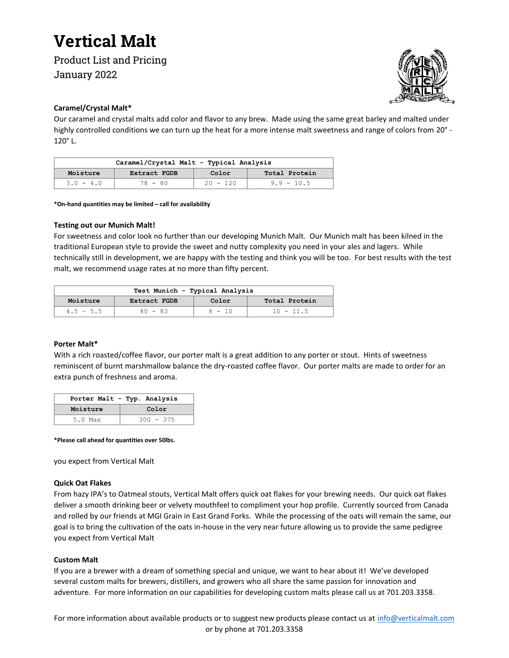Product List and Pricing January 2022



### **Caramel/Crystal Malt\***

Our caramel and crystal malts add color and flavor to any brew. Made using the same great barley and malted under highly controlled conditions we can turn up the heat for a more intense malt sweetness and range of colors from 20° - 120° L.

| Caramel/Crystal Malt - Typical Analysis |              |            |               |
|-----------------------------------------|--------------|------------|---------------|
| Moisture                                | Extract FGDB | Color      | Total Protein |
| $3.0 - 4.0$                             | $78 - 80$    | $20 - 120$ | $9.9 - 10.5$  |

**\*On-hand quantities may be limited – call for availability**

#### **Testing out our Munich Malt!**

For sweetness and color look no further than our developing Munich Malt. Our Munich malt has been kilned in the traditional European style to provide the sweet and nutty complexity you need in your ales and lagers. While technically still in development, we are happy with the testing and think you will be too. For best results with the test malt, we recommend usage rates at no more than fifty percent.

| Test Munich - Typical Analysis                     |           |          |             |  |
|----------------------------------------------------|-----------|----------|-------------|--|
| Moisture<br>Total Protein<br>Extract FGDB<br>Color |           |          |             |  |
| $4.5 - 5.5$                                        | $80 - 83$ | $8 - 10$ | $10 - 11.5$ |  |

#### **Porter Malt\***

With a rich roasted/coffee flavor, our porter malt is a great addition to any porter or stout. Hints of sweetness reminiscent of burnt marshmallow balance the dry-roasted coffee flavor. Our porter malts are made to order for an extra punch of freshness and aroma.

| Porter Malt - Typ. Analysis |             |  |  |
|-----------------------------|-------------|--|--|
| Moisture                    | Color       |  |  |
| $5.0$ Max                   | $300 - 375$ |  |  |

**\*Please call ahead for quantities over 50lbs.**

you expect from Vertical Malt

#### **Quick Oat Flakes**

From hazy IPA's to Oatmeal stouts, Vertical Malt offers quick oat flakes for your brewing needs. Our quick oat flakes deliver a smooth drinking beer or velvety mouthfeel to compliment your hop profile. Currently sourced from Canada and rolled by our friends at MGI Grain in East Grand Forks. While the processing of the oats will remain the same, our goal is to bring the cultivation of the oats in-house in the very near future allowing us to provide the same pedigree you expect from Vertical Malt

#### **Custom Malt**

If you are a brewer with a dream of something special and unique, we want to hear about it! We've developed several custom malts for brewers, distillers, and growers who all share the same passion for innovation and adventure. For more information on our capabilities for developing custom malts please call us at 701.203.3358.

For more information about available products or to suggest new products please contact us at [info@verticalmalt.com](mailto:info@verticalmalt.com) or by phone at 701.203.3358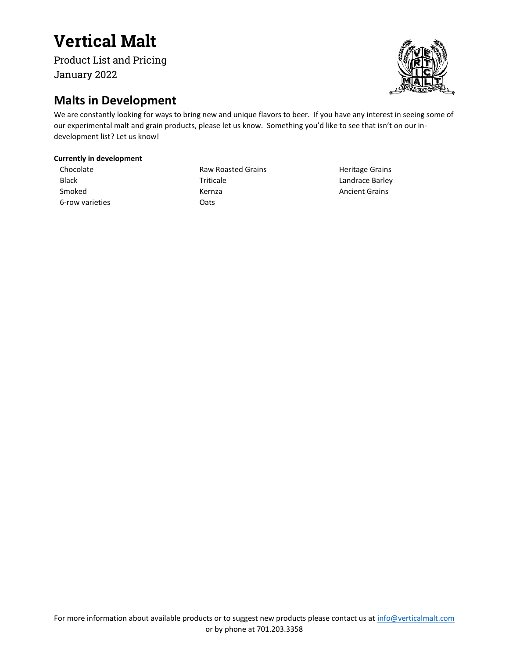Product List and Pricing January 2022

## **Malts in Development**

We are constantly looking for ways to bring new and unique flavors to beer. If you have any interest in seeing some of our experimental malt and grain products, please let us know. Something you'd like to see that isn't on our indevelopment list? Let us know!

### **Currently in development**

Chocolate Black Smoked 6-row varieties

Raw Roasted Grains Triticale Kernza **Oats** 

Heritage Grains Landrace Barley Ancient Grains